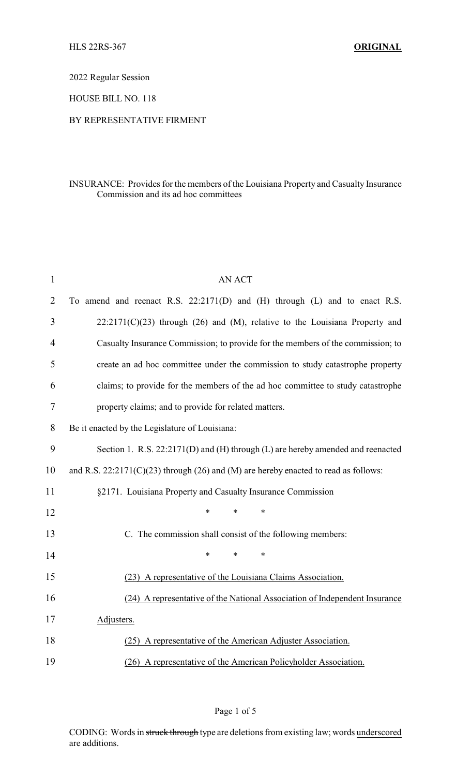2022 Regular Session

HOUSE BILL NO. 118

## BY REPRESENTATIVE FIRMENT

## INSURANCE: Provides for the members of the Louisiana Property and Casualty Insurance Commission and its ad hoc committees

| $\mathbf{1}$   | <b>AN ACT</b>                                                                         |  |  |
|----------------|---------------------------------------------------------------------------------------|--|--|
| $\overline{2}$ | To amend and reenact R.S. 22:2171(D) and (H) through (L) and to enact R.S.            |  |  |
| 3              | $22:2171(C)(23)$ through (26) and (M), relative to the Louisiana Property and         |  |  |
| $\overline{4}$ | Casualty Insurance Commission; to provide for the members of the commission; to       |  |  |
| 5              | create an ad hoc committee under the commission to study catastrophe property         |  |  |
| 6              | claims; to provide for the members of the ad hoc committee to study catastrophe       |  |  |
| 7              | property claims; and to provide for related matters.                                  |  |  |
| 8              | Be it enacted by the Legislature of Louisiana:                                        |  |  |
| 9              | Section 1. R.S. 22:2171(D) and (H) through (L) are hereby amended and reenacted       |  |  |
| 10             | and R.S. $22:2171(C)(23)$ through (26) and (M) are hereby enacted to read as follows: |  |  |
| 11             | §2171. Louisiana Property and Casualty Insurance Commission                           |  |  |
| 12             | *<br>*<br>$\ast$                                                                      |  |  |
| 13             | C. The commission shall consist of the following members:                             |  |  |
| 14             | *<br>*<br>$\ast$                                                                      |  |  |
| 15             | (23) A representative of the Louisiana Claims Association.                            |  |  |
| 16             | (24) A representative of the National Association of Independent Insurance            |  |  |
| 17             | Adjusters.                                                                            |  |  |
| 18             | (25) A representative of the American Adjuster Association.                           |  |  |
| 19             | (26) A representative of the American Policyholder Association.                       |  |  |

Page 1 of 5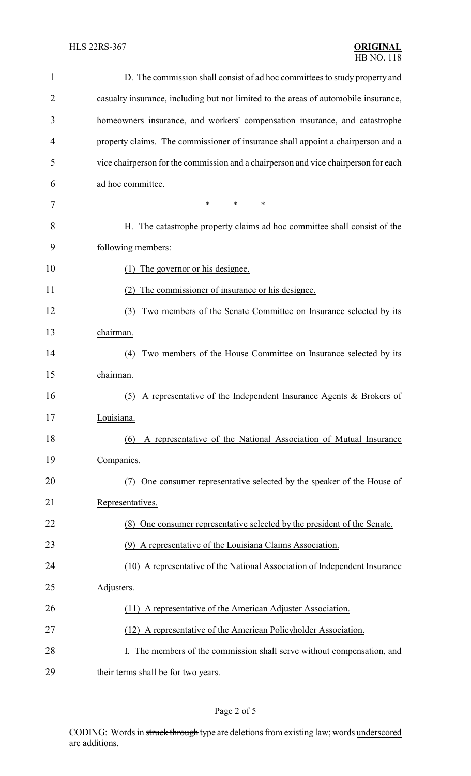| $\mathbf{1}$ | D. The commission shall consist of ad hoc committees to study property and          |
|--------------|-------------------------------------------------------------------------------------|
| 2            | casualty insurance, including but not limited to the areas of automobile insurance, |
| 3            | homeowners insurance, and workers' compensation insurance, and catastrophe          |
| 4            | property claims. The commissioner of insurance shall appoint a chairperson and a    |
| 5            | vice chairperson for the commission and a chairperson and vice chairperson for each |
| 6            | ad hoc committee.                                                                   |
| 7            | $\ast$<br>*<br>*                                                                    |
| 8            | H. The catastrophe property claims ad hoc committee shall consist of the            |
| 9            | following members:                                                                  |
| 10           | The governor or his designee.<br>(1)                                                |
| 11           | The commissioner of insurance or his designee.<br>(2)                               |
| 12           | Two members of the Senate Committee on Insurance selected by its<br>(3)             |
| 13           | chairman.                                                                           |
| 14           | Two members of the House Committee on Insurance selected by its<br>(4)              |
| 15           | chairman.                                                                           |
| 16           | A representative of the Independent Insurance Agents & Brokers of<br>(5)            |
| 17           | Louisiana.                                                                          |
| 18           | A representative of the National Association of Mutual Insurance<br>(6)             |
| 19           | Companies.                                                                          |
| 20           | One consumer representative selected by the speaker of the House of                 |
| 21           | Representatives.                                                                    |
| 22           | (8) One consumer representative selected by the president of the Senate.            |
| 23           | (9) A representative of the Louisiana Claims Association.                           |
| 24           | (10) A representative of the National Association of Independent Insurance          |
| 25           | Adjusters.                                                                          |
| 26           | (11) A representative of the American Adjuster Association.                         |
| 27           | (12) A representative of the American Policyholder Association.                     |
| 28           | The members of the commission shall serve without compensation, and<br>I.           |
| 29           | their terms shall be for two years.                                                 |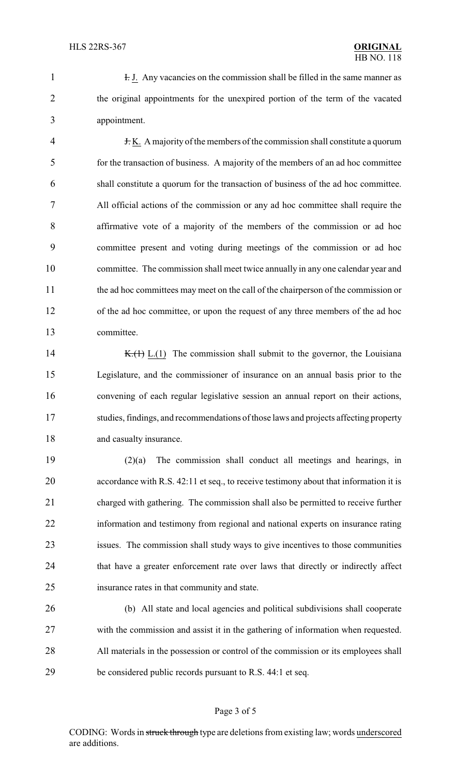1 I. Any vacancies on the commission shall be filled in the same manner as the original appointments for the unexpired portion of the term of the vacated appointment.

 $\frac{1}{2}$  +  $\frac{1}{2}$  K. A majority of the members of the commission shall constitute a quorum for the transaction of business. A majority of the members of an ad hoc committee shall constitute a quorum for the transaction of business of the ad hoc committee. All official actions of the commission or any ad hoc committee shall require the affirmative vote of a majority of the members of the commission or ad hoc committee present and voting during meetings of the commission or ad hoc committee. The commission shall meet twice annually in any one calendar year and the ad hoc committees may meet on the call of the chairperson of the commission or of the ad hoc committee, or upon the request of any three members of the ad hoc committee.

14 K.( $\overline{H}$ , L.(1) The commission shall submit to the governor, the Louisiana Legislature, and the commissioner of insurance on an annual basis prior to the convening of each regular legislative session an annual report on their actions, studies, findings, and recommendations of those laws and projects affecting property 18 and casualty insurance.

 (2)(a) The commission shall conduct all meetings and hearings, in 20 accordance with R.S. 42:11 et seq., to receive testimony about that information it is charged with gathering. The commission shall also be permitted to receive further information and testimony from regional and national experts on insurance rating issues. The commission shall study ways to give incentives to those communities that have a greater enforcement rate over laws that directly or indirectly affect insurance rates in that community and state.

 (b) All state and local agencies and political subdivisions shall cooperate with the commission and assist it in the gathering of information when requested. All materials in the possession or control of the commission or its employees shall be considered public records pursuant to R.S. 44:1 et seq.

## Page 3 of 5

CODING: Words in struck through type are deletions from existing law; words underscored are additions.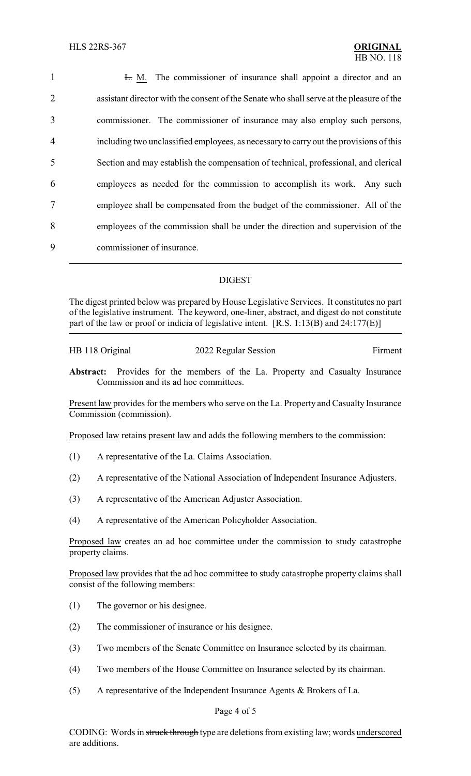| $\mathbf{1}$   | E. M. The commissioner of insurance shall appoint a director and an                      |
|----------------|------------------------------------------------------------------------------------------|
| $\overline{2}$ | assistant director with the consent of the Senate who shall serve at the pleasure of the |
| 3              | commissioner. The commissioner of insurance may also employ such persons,                |
| $\overline{4}$ | including two unclassified employees, as necessary to carry out the provisions of this   |
| 5              | Section and may establish the compensation of technical, professional, and clerical      |
| 6              | employees as needed for the commission to accomplish its work. Any such                  |
| $\overline{7}$ | employee shall be compensated from the budget of the commissioner. All of the            |
| 8              | employees of the commission shall be under the direction and supervision of the          |
| 9              | commissioner of insurance.                                                               |

## DIGEST

The digest printed below was prepared by House Legislative Services. It constitutes no part of the legislative instrument. The keyword, one-liner, abstract, and digest do not constitute part of the law or proof or indicia of legislative intent. [R.S. 1:13(B) and 24:177(E)]

| HB 118 Original | 2022 Regular Session | Firment |
|-----------------|----------------------|---------|
|                 |                      |         |

**Abstract:** Provides for the members of the La. Property and Casualty Insurance Commission and its ad hoc committees.

Present law provides for the members who serve on the La. Property and Casualty Insurance Commission (commission).

Proposed law retains present law and adds the following members to the commission:

- (1) A representative of the La. Claims Association.
- (2) A representative of the National Association of Independent Insurance Adjusters.
- (3) A representative of the American Adjuster Association.
- (4) A representative of the American Policyholder Association.

Proposed law creates an ad hoc committee under the commission to study catastrophe property claims.

Proposed law provides that the ad hoc committee to study catastrophe property claims shall consist of the following members:

- (1) The governor or his designee.
- (2) The commissioner of insurance or his designee.
- (3) Two members of the Senate Committee on Insurance selected by its chairman.
- (4) Two members of the House Committee on Insurance selected by its chairman.
- (5) A representative of the Independent Insurance Agents & Brokers of La.

Page 4 of 5

CODING: Words in struck through type are deletions from existing law; words underscored are additions.